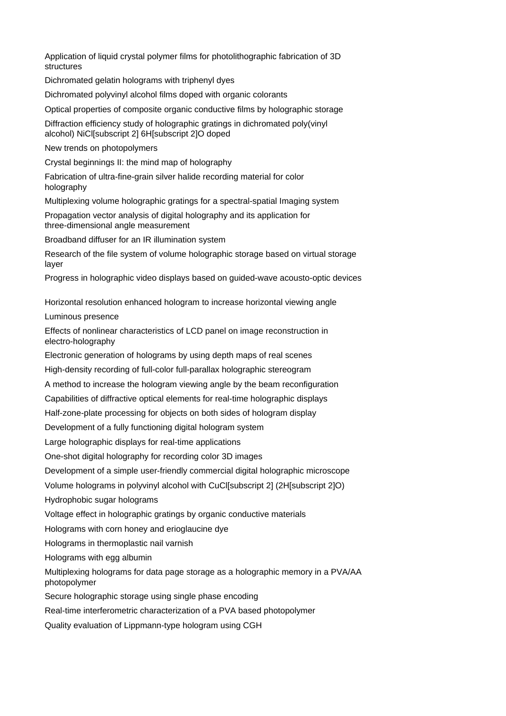Application of liquid crystal polymer films for photolithographic fabrication of 3D structures

Dichromated gelatin holograms with triphenyl dyes

Dichromated polyvinyl alcohol films doped with organic colorants

Optical properties of composite organic conductive films by holographic storage

Diffraction efficiency study of holographic gratings in dichromated poly(vinyl alcohol) NiCl[subscript 2] 6H[subscript 2]O doped

New trends on photopolymers

Crystal beginnings II: the mind map of holography

Fabrication of ultra-fine-grain silver halide recording material for color holography

Multiplexing volume holographic gratings for a spectral-spatial Imaging system

Propagation vector analysis of digital holography and its application for three-dimensional angle measurement

Broadband diffuser for an IR illumination system

Research of the file system of volume holographic storage based on virtual storage layer

Progress in holographic video displays based on guided-wave acousto-optic devices

Horizontal resolution enhanced hologram to increase horizontal viewing angle

Luminous presence

Effects of nonlinear characteristics of LCD panel on image reconstruction in electro-holography

Electronic generation of holograms by using depth maps of real scenes

High-density recording of full-color full-parallax holographic stereogram

A method to increase the hologram viewing angle by the beam reconfiguration

Capabilities of diffractive optical elements for real-time holographic displays

Half-zone-plate processing for objects on both sides of hologram display

Development of a fully functioning digital hologram system

Large holographic displays for real-time applications

One-shot digital holography for recording color 3D images

Development of a simple user-friendly commercial digital holographic microscope

Volume holograms in polyvinyl alcohol with CuCl[subscript 2] (2H[subscript 2]O)

Hydrophobic sugar holograms

Voltage effect in holographic gratings by organic conductive materials

Holograms with corn honey and erioglaucine dye

Holograms in thermoplastic nail varnish

Holograms with egg albumin

Multiplexing holograms for data page storage as a holographic memory in a PVA/AA photopolymer

Secure holographic storage using single phase encoding

Real-time interferometric characterization of a PVA based photopolymer

Quality evaluation of Lippmann-type hologram using CGH